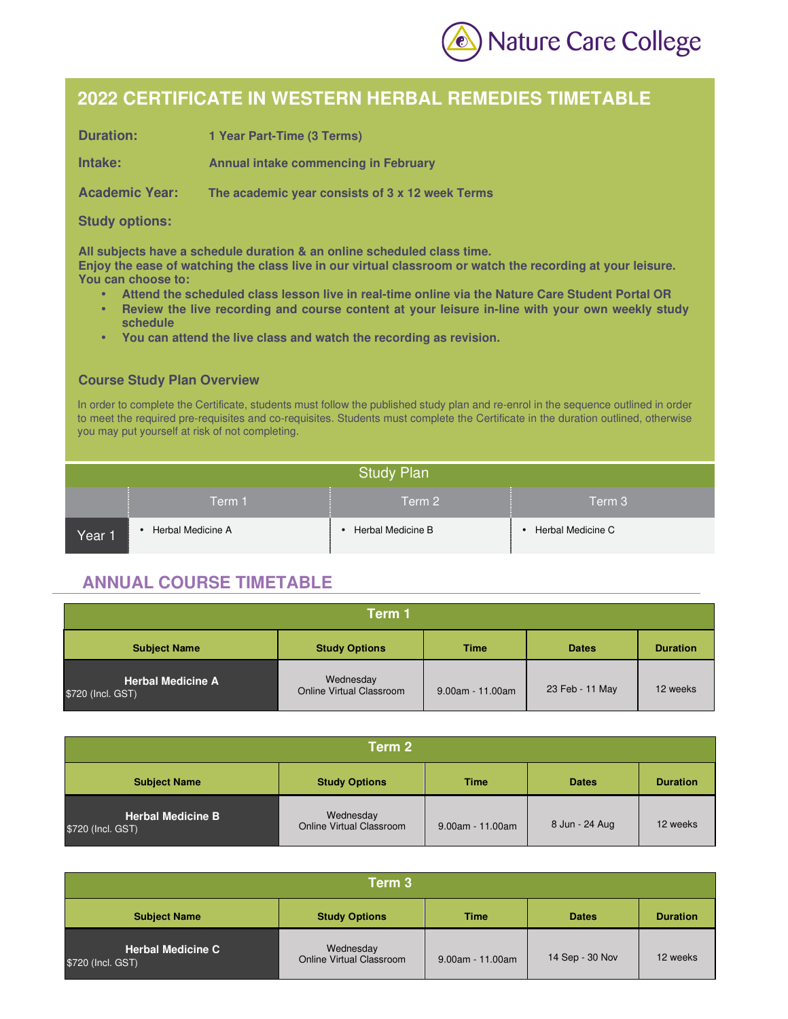

## **2022 CERTIFICATE IN WESTERN HERBAL REMEDIES TIMETABLE**

| <b>Duration:</b>      | 1 Year Part-Time (3 Terms)                      |
|-----------------------|-------------------------------------------------|
| Intake:               | <b>Annual intake commencing in February</b>     |
| <b>Academic Year:</b> | The academic year consists of 3 x 12 week Terms |

## **Study options:**

**All subjects have a schedule duration & an online scheduled class time. Enjoy the ease of watching the class live in our virtual classroom or watch the recording at your leisure. You can choose to:** 

- **Attend the scheduled class lesson live in real-time online via the Nature Care Student Portal OR**
- **Review the live recording and course content at your leisure in-line with your own weekly study schedule**
- **You can attend the live class and watch the recording as revision.**

## **Course Study Plan Overview**

In order to complete the Certificate, students must follow the published study plan and re-enrol in the sequence outlined in order to meet the required pre-requisites and co-requisites. Students must complete the Certificate in the duration outlined, otherwise you may put yourself at risk of not completing.

| <b>Study Plan</b> |                   |                   |                   |
|-------------------|-------------------|-------------------|-------------------|
|                   | Term 1            | Term 2            | Term 3            |
| Year 1            | Herbal Medicine A | Herbal Medicine B | Herbal Medicine C |

## **ANNUAL COURSE TIMETABLE**

| Term 1                                        |                                       |                    |                 |                 |
|-----------------------------------------------|---------------------------------------|--------------------|-----------------|-----------------|
| <b>Subject Name</b>                           | <b>Study Options</b>                  | <b>Time</b>        | <b>Dates</b>    | <b>Duration</b> |
| <b>Herbal Medicine A</b><br>\$720 (Incl. GST) | Wednesday<br>Online Virtual Classroom | $9.00am - 11.00am$ | 23 Feb - 11 May | 12 weeks        |

| Term 2                                        |                                       |                    |                |                 |
|-----------------------------------------------|---------------------------------------|--------------------|----------------|-----------------|
| <b>Subject Name</b>                           | <b>Study Options</b>                  | <b>Time</b>        | <b>Dates</b>   | <b>Duration</b> |
| <b>Herbal Medicine B</b><br>\$720 (Incl. GST) | Wednesday<br>Online Virtual Classroom | $9.00am - 11.00am$ | 8 Jun - 24 Aug | 12 weeks        |

| Term 3                                        |                                       |                    |                 |                 |
|-----------------------------------------------|---------------------------------------|--------------------|-----------------|-----------------|
| <b>Subject Name</b>                           | <b>Study Options</b>                  | <b>Time</b>        | <b>Dates</b>    | <b>Duration</b> |
| <b>Herbal Medicine C</b><br>\$720 (Incl. GST) | Wednesday<br>Online Virtual Classroom | $9.00am - 11.00am$ | 14 Sep - 30 Nov | 12 weeks        |